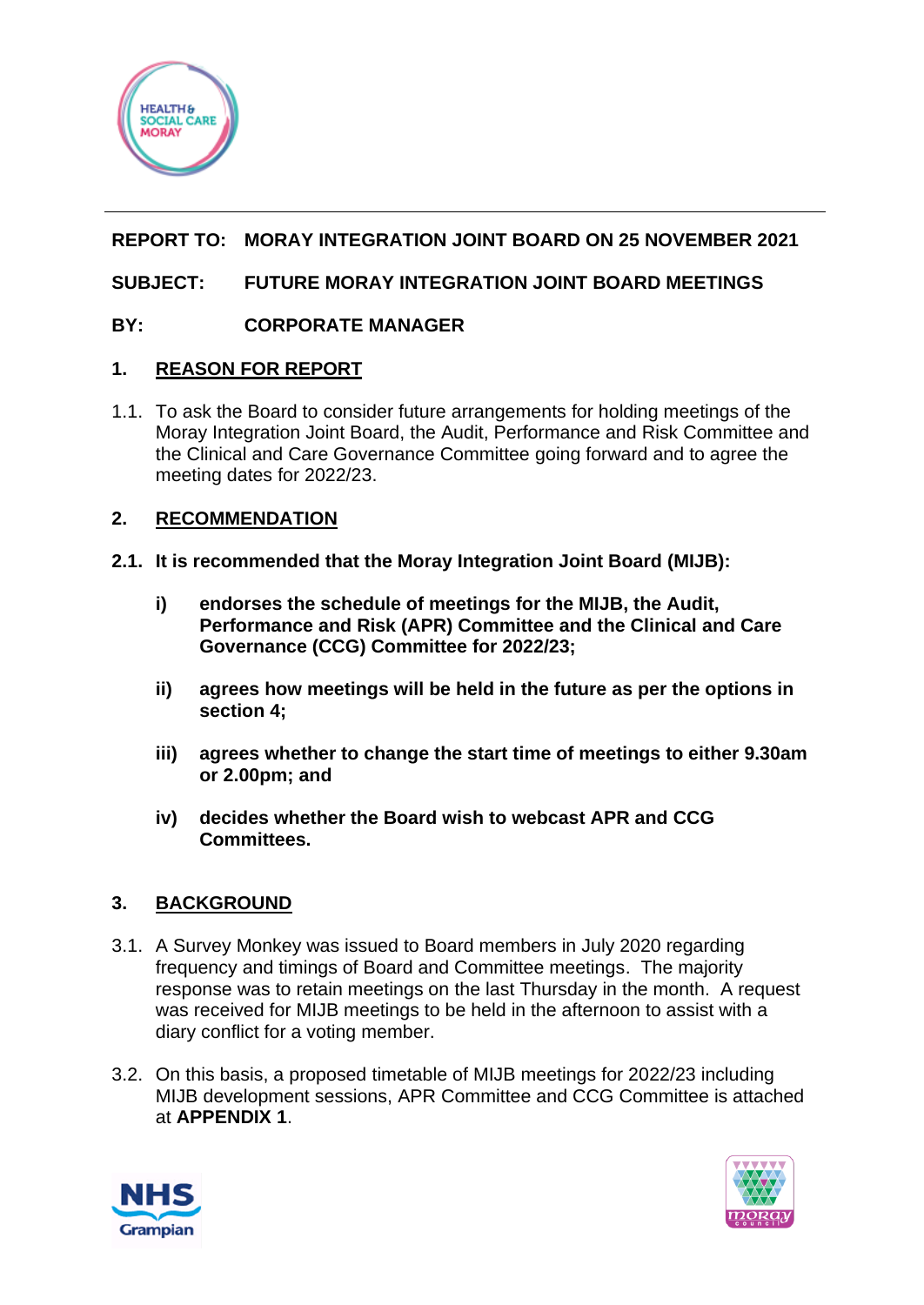

# **REPORT TO: MORAY INTEGRATION JOINT BOARD ON 25 NOVEMBER 2021**

# **SUBJECT: FUTURE MORAY INTEGRATION JOINT BOARD MEETINGS**

## **BY: CORPORATE MANAGER**

## **1. REASON FOR REPORT**

1.1. To ask the Board to consider future arrangements for holding meetings of the Moray Integration Joint Board, the Audit, Performance and Risk Committee and the Clinical and Care Governance Committee going forward and to agree the meeting dates for 2022/23.

### **2. RECOMMENDATION**

- **2.1. It is recommended that the Moray Integration Joint Board (MIJB):**
	- **i) endorses the schedule of meetings for the MIJB, the Audit, Performance and Risk (APR) Committee and the Clinical and Care Governance (CCG) Committee for 2022/23;**
	- **ii) agrees how meetings will be held in the future as per the options in section 4;**
	- **iii) agrees whether to change the start time of meetings to either 9.30am or 2.00pm; and**
	- **iv) decides whether the Board wish to webcast APR and CCG Committees.**

## **3. BACKGROUND**

- 3.1. A Survey Monkey was issued to Board members in July 2020 regarding frequency and timings of Board and Committee meetings. The majority response was to retain meetings on the last Thursday in the month. A request was received for MIJB meetings to be held in the afternoon to assist with a diary conflict for a voting member.
- 3.2. On this basis, a proposed timetable of MIJB meetings for 2022/23 including MIJB development sessions, APR Committee and CCG Committee is attached at **APPENDIX 1**.



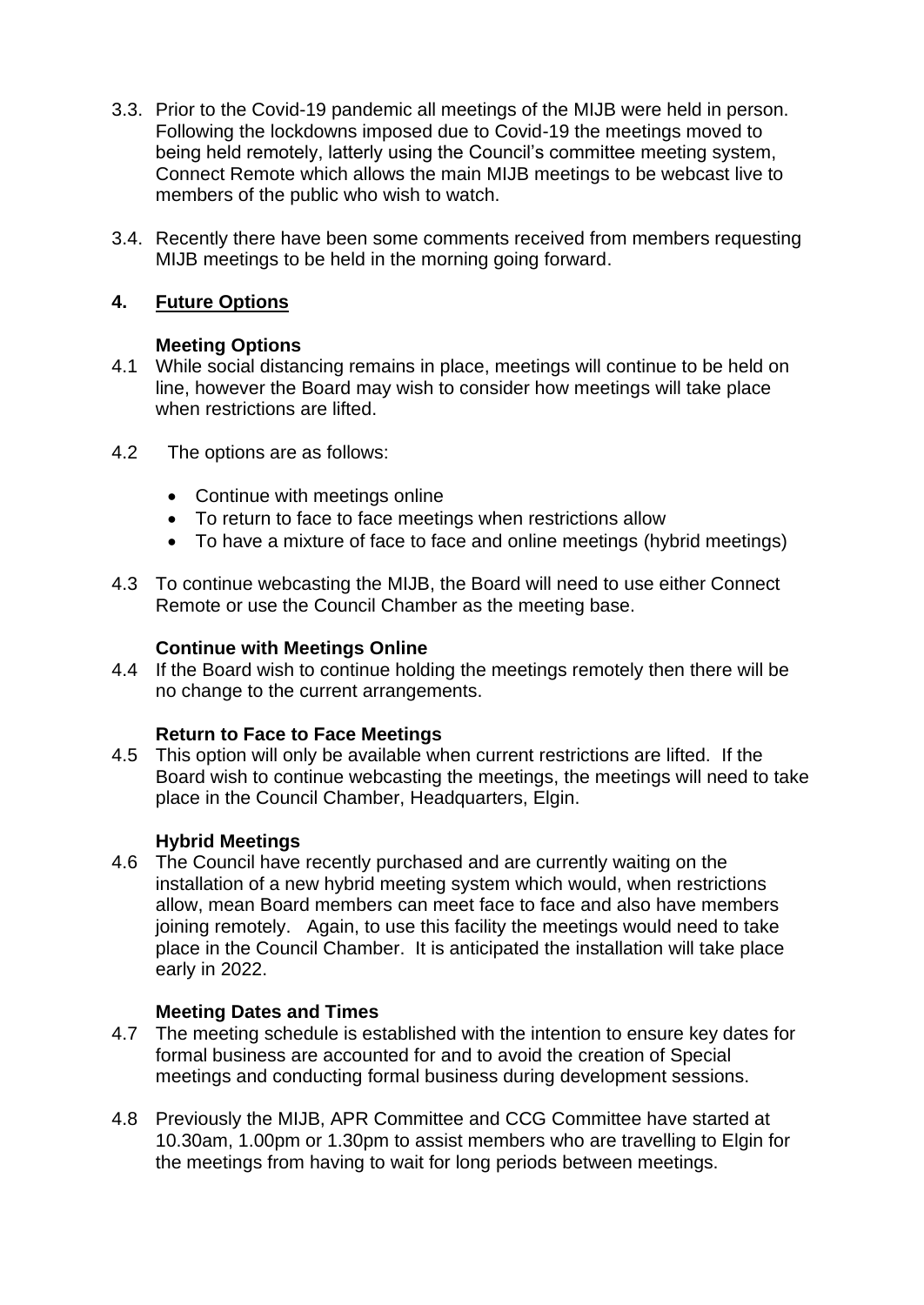- 3.3. Prior to the Covid-19 pandemic all meetings of the MIJB were held in person. Following the lockdowns imposed due to Covid-19 the meetings moved to being held remotely, latterly using the Council's committee meeting system, Connect Remote which allows the main MIJB meetings to be webcast live to members of the public who wish to watch.
- 3.4. Recently there have been some comments received from members requesting MIJB meetings to be held in the morning going forward.

## **4. Future Options**

## **Meeting Options**

- 4.1 While social distancing remains in place, meetings will continue to be held on line, however the Board may wish to consider how meetings will take place when restrictions are lifted.
- 4.2 The options are as follows:
	- Continue with meetings online
	- To return to face to face meetings when restrictions allow
	- To have a mixture of face to face and online meetings (hybrid meetings)
- 4.3 To continue webcasting the MIJB, the Board will need to use either Connect Remote or use the Council Chamber as the meeting base.

# **Continue with Meetings Online**

4.4 If the Board wish to continue holding the meetings remotely then there will be no change to the current arrangements.

## **Return to Face to Face Meetings**

4.5 This option will only be available when current restrictions are lifted. If the Board wish to continue webcasting the meetings, the meetings will need to take place in the Council Chamber, Headquarters, Elgin.

# **Hybrid Meetings**

4.6 The Council have recently purchased and are currently waiting on the installation of a new hybrid meeting system which would, when restrictions allow, mean Board members can meet face to face and also have members joining remotely. Again, to use this facility the meetings would need to take place in the Council Chamber. It is anticipated the installation will take place early in 2022.

## **Meeting Dates and Times**

- 4.7 The meeting schedule is established with the intention to ensure key dates for formal business are accounted for and to avoid the creation of Special meetings and conducting formal business during development sessions.
- 4.8 Previously the MIJB, APR Committee and CCG Committee have started at 10.30am, 1.00pm or 1.30pm to assist members who are travelling to Elgin for the meetings from having to wait for long periods between meetings.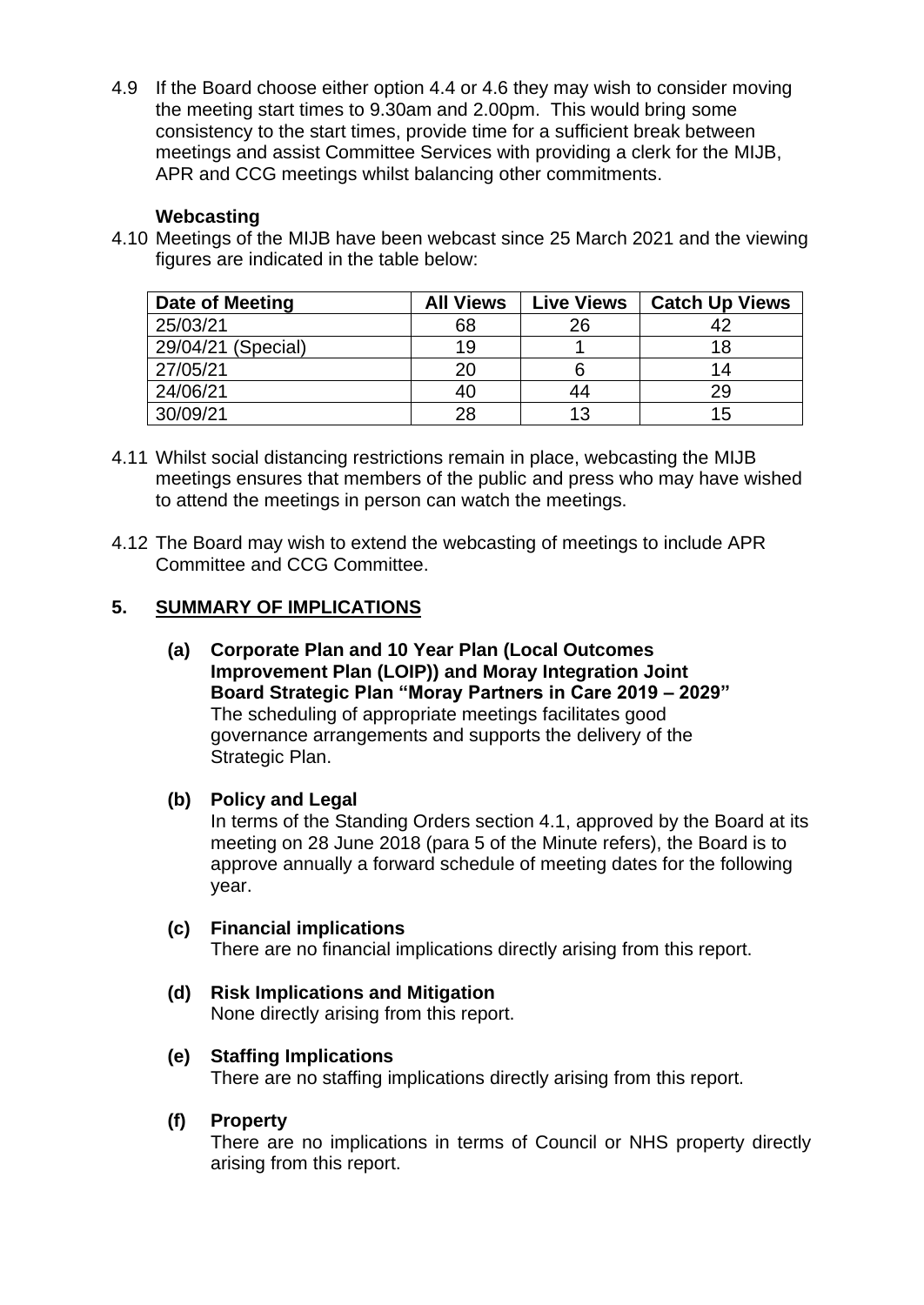4.9 If the Board choose either option 4.4 or 4.6 they may wish to consider moving the meeting start times to 9.30am and 2.00pm. This would bring some consistency to the start times, provide time for a sufficient break between meetings and assist Committee Services with providing a clerk for the MIJB, APR and CCG meetings whilst balancing other commitments.

### **Webcasting**

4.10 Meetings of the MIJB have been webcast since 25 March 2021 and the viewing figures are indicated in the table below:

| Date of Meeting    | <b>All Views</b> | <b>Live Views</b> | <b>Catch Up Views</b> |
|--------------------|------------------|-------------------|-----------------------|
| 25/03/21           | 68               | 26                |                       |
| 29/04/21 (Special) | 19               |                   |                       |
| 27/05/21           | 20               |                   | 14                    |
| 24/06/21           | 40               | 44                | 29                    |
| 30/09/21           | 28               | 13                | 15                    |

- 4.11 Whilst social distancing restrictions remain in place, webcasting the MIJB meetings ensures that members of the public and press who may have wished to attend the meetings in person can watch the meetings.
- 4.12 The Board may wish to extend the webcasting of meetings to include APR Committee and CCG Committee.

### **5. SUMMARY OF IMPLICATIONS**

**(a) Corporate Plan and 10 Year Plan (Local Outcomes Improvement Plan (LOIP)) and Moray Integration Joint Board Strategic Plan "Moray Partners in Care 2019 – 2029"** The scheduling of appropriate meetings facilitates good governance arrangements and supports the delivery of the Strategic Plan.

#### **(b) Policy and Legal**

In terms of the Standing Orders section 4.1, approved by the Board at its meeting on 28 June 2018 (para 5 of the Minute refers), the Board is to approve annually a forward schedule of meeting dates for the following year.

#### **(c) Financial implications**

There are no financial implications directly arising from this report.

**(d) Risk Implications and Mitigation** None directly arising from this report.

## **(e) Staffing Implications**

There are no staffing implications directly arising from this report.

#### **(f) Property**

There are no implications in terms of Council or NHS property directly arising from this report.